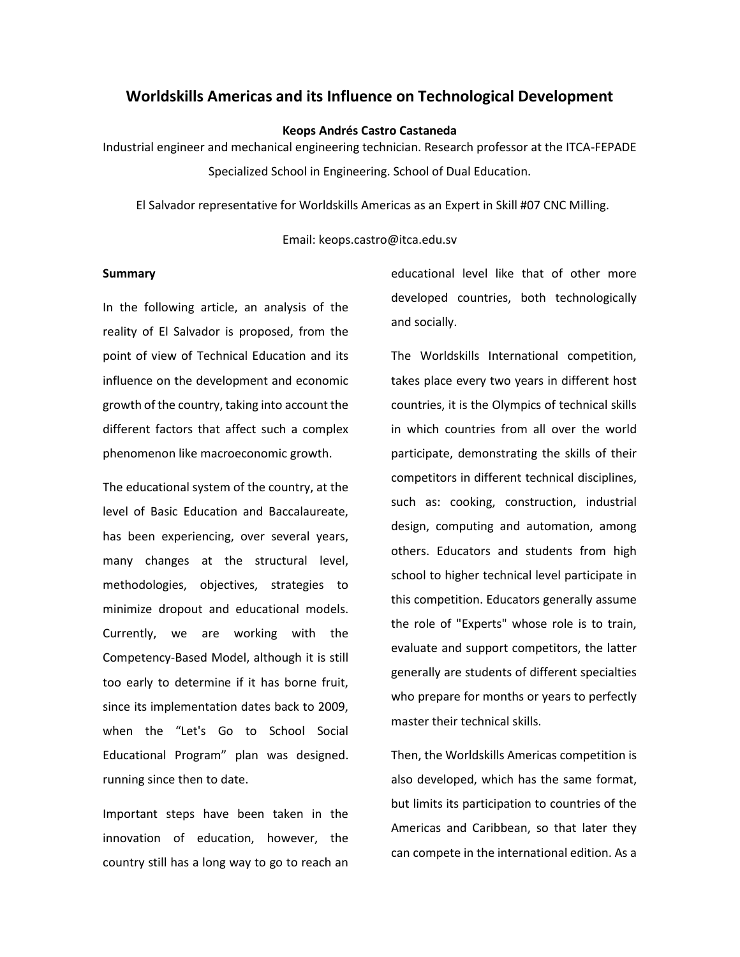# **Worldskills Americas and its Influence on Technological Development**

**Keops Andrés Castro Castaneda**

Industrial engineer and mechanical engineering technician. Research professor at the ITCA-FEPADE Specialized School in Engineering. School of Dual Education.

El Salvador representative for Worldskills Americas as an Expert in Skill #07 CNC Milling.

#### Email: keops.castro@itca.edu.sv

#### **Summary**

In the following article, an analysis of the reality of El Salvador is proposed, from the point of view of Technical Education and its influence on the development and economic growth of the country, taking into account the different factors that affect such a complex phenomenon like macroeconomic growth.

The educational system of the country, at the level of Basic Education and Baccalaureate, has been experiencing, over several years, many changes at the structural level, methodologies, objectives, strategies to minimize dropout and educational models. Currently, we are working with the Competency-Based Model, although it is still too early to determine if it has borne fruit, since its implementation dates back to 2009, when the "Let's Go to School Social Educational Program" plan was designed. running since then to date.

Important steps have been taken in the innovation of education, however, the country still has a long way to go to reach an

educational level like that of other more developed countries, both technologically and socially.

The Worldskills International competition, takes place every two years in different host countries, it is the Olympics of technical skills in which countries from all over the world participate, demonstrating the skills of their competitors in different technical disciplines, such as: cooking, construction, industrial design, computing and automation, among others. Educators and students from high school to higher technical level participate in this competition. Educators generally assume the role of "Experts" whose role is to train, evaluate and support competitors, the latter generally are students of different specialties who prepare for months or years to perfectly master their technical skills.

Then, the Worldskills Americas competition is also developed, which has the same format, but limits its participation to countries of the Americas and Caribbean, so that later they can compete in the international edition. As a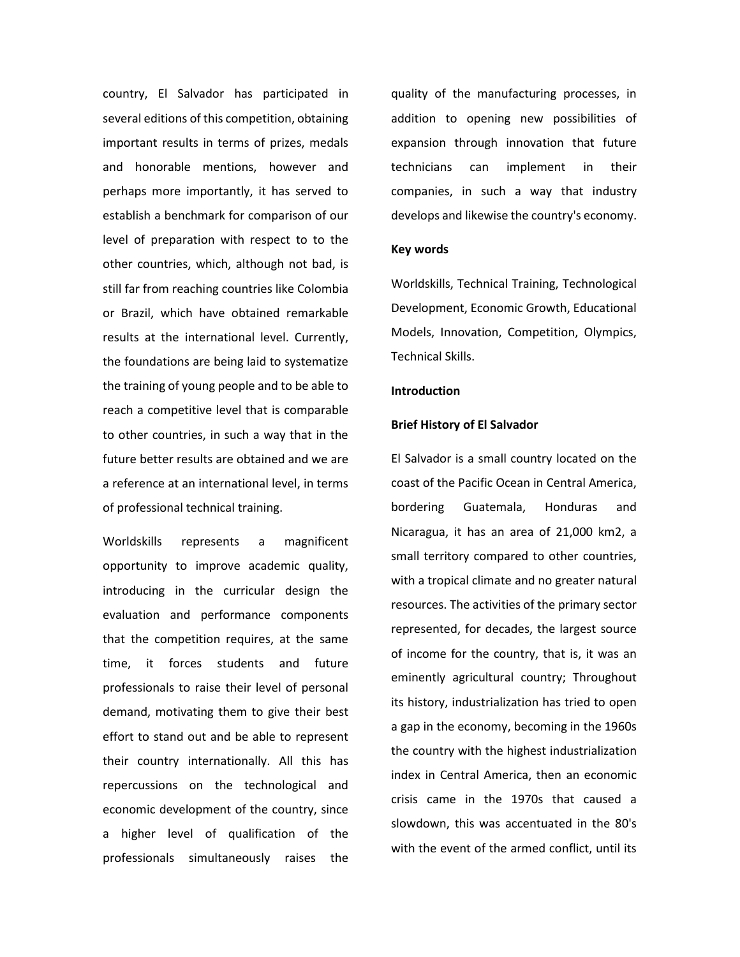country, El Salvador has participated in several editions of this competition, obtaining important results in terms of prizes, medals and honorable mentions, however and perhaps more importantly, it has served to establish a benchmark for comparison of our level of preparation with respect to to the other countries, which, although not bad, is still far from reaching countries like Colombia or Brazil, which have obtained remarkable results at the international level. Currently, the foundations are being laid to systematize the training of young people and to be able to reach a competitive level that is comparable to other countries, in such a way that in the future better results are obtained and we are a reference at an international level, in terms of professional technical training.

Worldskills represents a magnificent opportunity to improve academic quality, introducing in the curricular design the evaluation and performance components that the competition requires, at the same time, it forces students and future professionals to raise their level of personal demand, motivating them to give their best effort to stand out and be able to represent their country internationally. All this has repercussions on the technological and economic development of the country, since a higher level of qualification of the professionals simultaneously raises the

quality of the manufacturing processes, in addition to opening new possibilities of expansion through innovation that future technicians can implement in their companies, in such a way that industry develops and likewise the country's economy.

# **Key words**

Worldskills, Technical Training, Technological Development, Economic Growth, Educational Models, Innovation, Competition, Olympics, Technical Skills.

### **Introduction**

### **Brief History of El Salvador**

El Salvador is a small country located on the coast of the Pacific Ocean in Central America, bordering Guatemala, Honduras and Nicaragua, it has an area of 21,000 km2, a small territory compared to other countries, with a tropical climate and no greater natural resources. The activities of the primary sector represented, for decades, the largest source of income for the country, that is, it was an eminently agricultural country; Throughout its history, industrialization has tried to open a gap in the economy, becoming in the 1960s the country with the highest industrialization index in Central America, then an economic crisis came in the 1970s that caused a slowdown, this was accentuated in the 80's with the event of the armed conflict, until its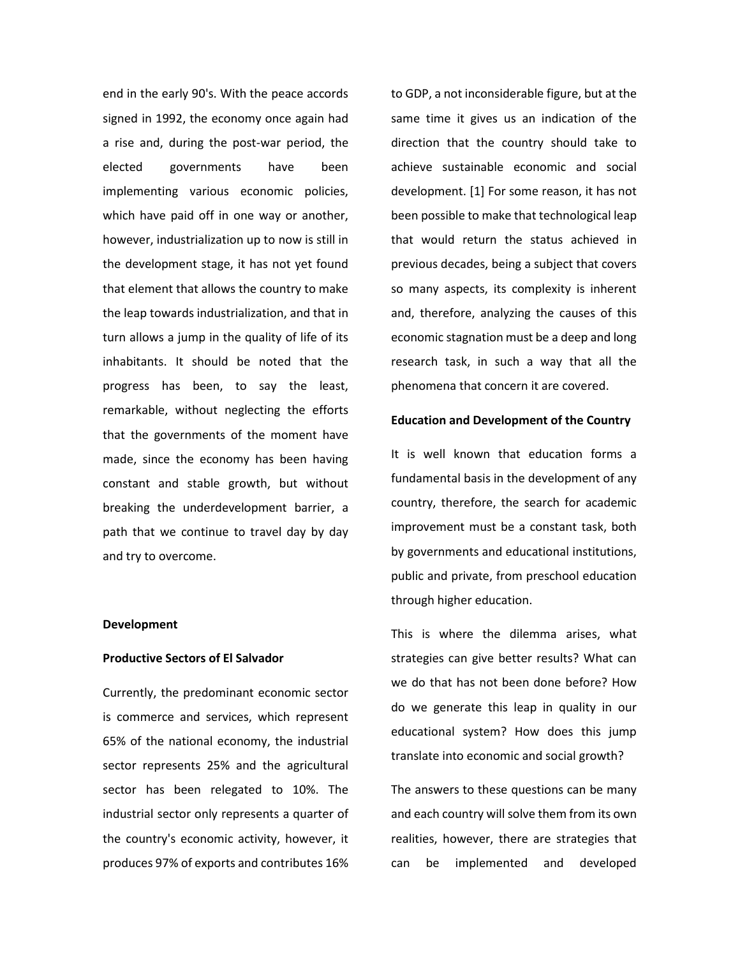end in the early 90's. With the peace accords signed in 1992, the economy once again had a rise and, during the post-war period, the elected governments have been implementing various economic policies, which have paid off in one way or another, however, industrialization up to now is still in the development stage, it has not yet found that element that allows the country to make the leap towards industrialization, and that in turn allows a jump in the quality of life of its inhabitants. It should be noted that the progress has been, to say the least, remarkable, without neglecting the efforts that the governments of the moment have made, since the economy has been having constant and stable growth, but without breaking the underdevelopment barrier, a path that we continue to travel day by day and try to overcome.

#### **Development**

#### **Productive Sectors of El Salvador**

Currently, the predominant economic sector is commerce and services, which represent 65% of the national economy, the industrial sector represents 25% and the agricultural sector has been relegated to 10%. The industrial sector only represents a quarter of the country's economic activity, however, it produces 97% of exports and contributes 16%

to GDP, a not inconsiderable figure, but at the same time it gives us an indication of the direction that the country should take to achieve sustainable economic and social development. [1] For some reason, it has not been possible to make that technological leap that would return the status achieved in previous decades, being a subject that covers so many aspects, its complexity is inherent and, therefore, analyzing the causes of this economic stagnation must be a deep and long research task, in such a way that all the phenomena that concern it are covered.

#### **Education and Development of the Country**

It is well known that education forms a fundamental basis in the development of any country, therefore, the search for academic improvement must be a constant task, both by governments and educational institutions, public and private, from preschool education through higher education.

This is where the dilemma arises, what strategies can give better results? What can we do that has not been done before? How do we generate this leap in quality in our educational system? How does this jump translate into economic and social growth?

The answers to these questions can be many and each country will solve them from its own realities, however, there are strategies that can be implemented and developed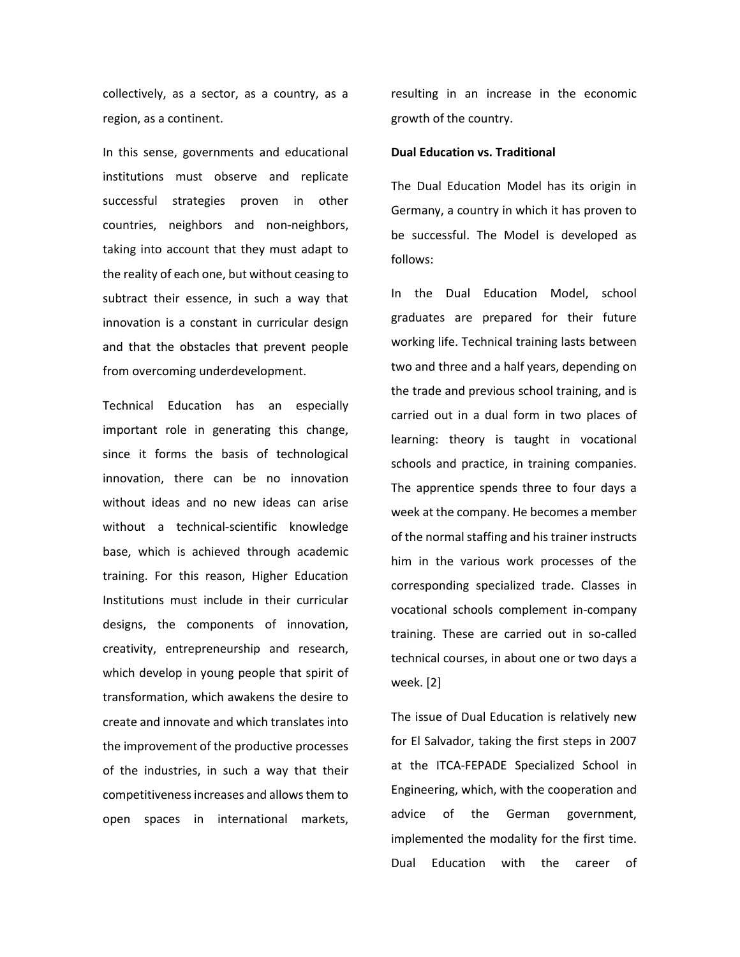collectively, as a sector, as a country, as a region, as a continent.

In this sense, governments and educational institutions must observe and replicate successful strategies proven in other countries, neighbors and non-neighbors, taking into account that they must adapt to the reality of each one, but without ceasing to subtract their essence, in such a way that innovation is a constant in curricular design and that the obstacles that prevent people from overcoming underdevelopment.

Technical Education has an especially important role in generating this change, since it forms the basis of technological innovation, there can be no innovation without ideas and no new ideas can arise without a technical-scientific knowledge base, which is achieved through academic training. For this reason, Higher Education Institutions must include in their curricular designs, the components of innovation, creativity, entrepreneurship and research, which develop in young people that spirit of transformation, which awakens the desire to create and innovate and which translates into the improvement of the productive processes of the industries, in such a way that their competitiveness increases and allows them to open spaces in international markets,

resulting in an increase in the economic growth of the country.

# **Dual Education vs. Traditional**

The Dual Education Model has its origin in Germany, a country in which it has proven to be successful. The Model is developed as follows:

In the Dual Education Model, school graduates are prepared for their future working life. Technical training lasts between two and three and a half years, depending on the trade and previous school training, and is carried out in a dual form in two places of learning: theory is taught in vocational schools and practice, in training companies. The apprentice spends three to four days a week at the company. He becomes a member of the normal staffing and his trainer instructs him in the various work processes of the corresponding specialized trade. Classes in vocational schools complement in-company training. These are carried out in so-called technical courses, in about one or two days a week. [2]

The issue of Dual Education is relatively new for El Salvador, taking the first steps in 2007 at the ITCA-FEPADE Specialized School in Engineering, which, with the cooperation and advice of the German government, implemented the modality for the first time. Dual Education with the career of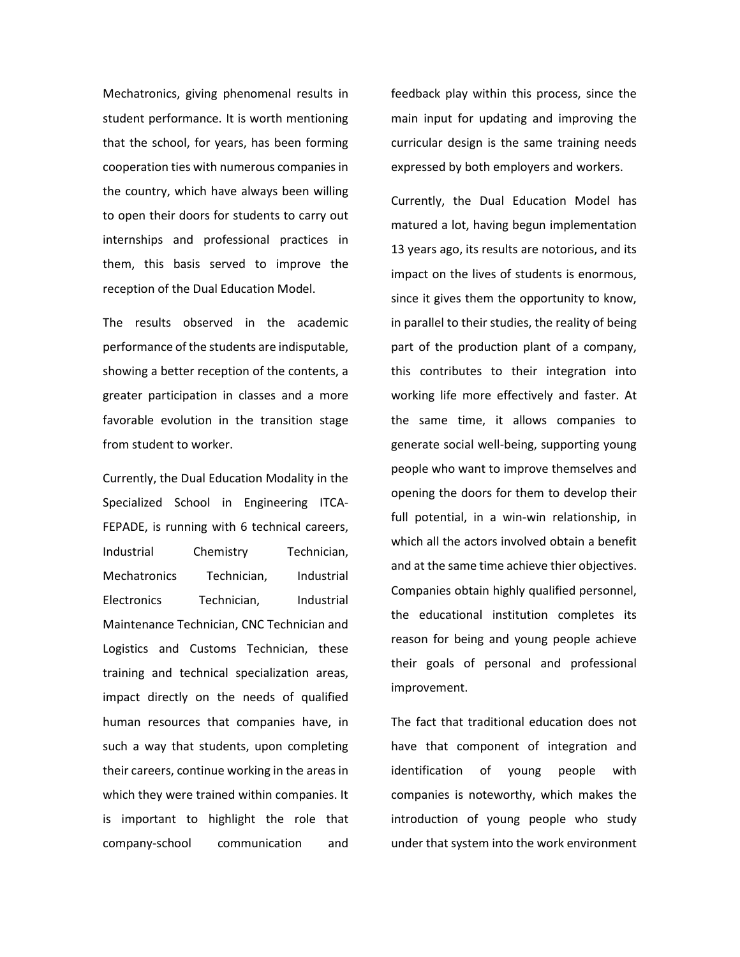Mechatronics, giving phenomenal results in student performance. It is worth mentioning that the school, for years, has been forming cooperation ties with numerous companies in the country, which have always been willing to open their doors for students to carry out internships and professional practices in them, this basis served to improve the reception of the Dual Education Model.

The results observed in the academic performance of the students are indisputable, showing a better reception of the contents, a greater participation in classes and a more favorable evolution in the transition stage from student to worker.

Currently, the Dual Education Modality in the Specialized School in Engineering ITCA-FEPADE, is running with 6 technical careers, Industrial Chemistry Technician, Mechatronics Technician, Industrial Electronics Technician, Industrial Maintenance Technician, CNC Technician and Logistics and Customs Technician, these training and technical specialization areas, impact directly on the needs of qualified human resources that companies have, in such a way that students, upon completing their careers, continue working in the areas in which they were trained within companies. It is important to highlight the role that company-school communication and

feedback play within this process, since the main input for updating and improving the curricular design is the same training needs expressed by both employers and workers.

Currently, the Dual Education Model has matured a lot, having begun implementation 13 years ago, its results are notorious, and its impact on the lives of students is enormous, since it gives them the opportunity to know, in parallel to their studies, the reality of being part of the production plant of a company, this contributes to their integration into working life more effectively and faster. At the same time, it allows companies to generate social well-being, supporting young people who want to improve themselves and opening the doors for them to develop their full potential, in a win-win relationship, in which all the actors involved obtain a benefit and at the same time achieve thier objectives. Companies obtain highly qualified personnel, the educational institution completes its reason for being and young people achieve their goals of personal and professional improvement.

The fact that traditional education does not have that component of integration and identification of young people with companies is noteworthy, which makes the introduction of young people who study under that system into the work environment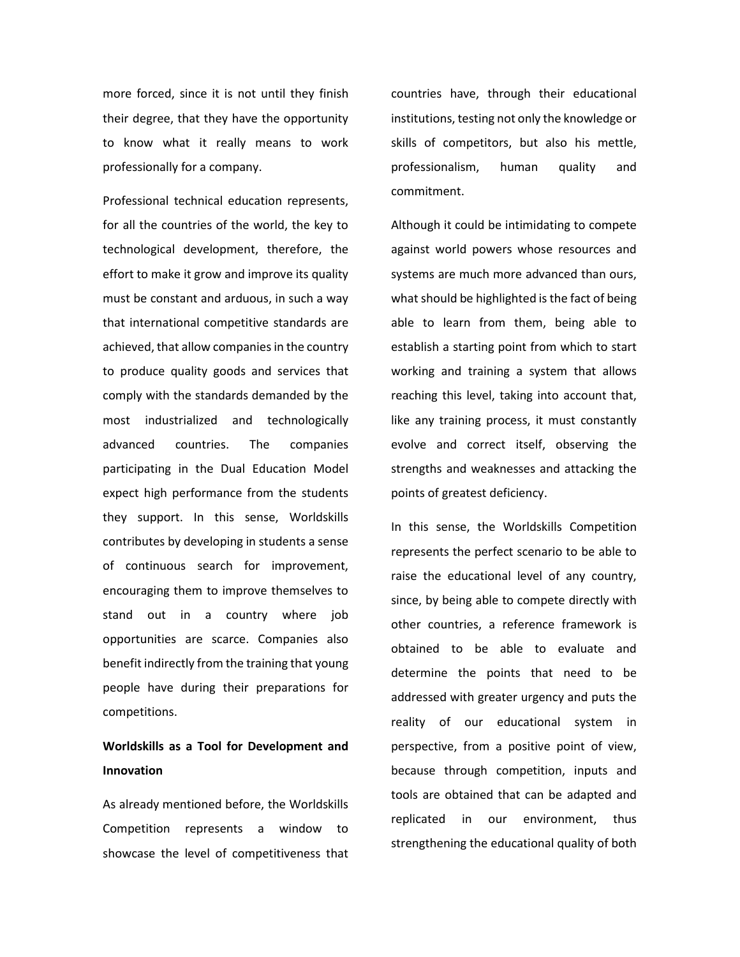more forced, since it is not until they finish their degree, that they have the opportunity to know what it really means to work professionally for a company.

Professional technical education represents, for all the countries of the world, the key to technological development, therefore, the effort to make it grow and improve its quality must be constant and arduous, in such a way that international competitive standards are achieved, that allow companies in the country to produce quality goods and services that comply with the standards demanded by the most industrialized and technologically advanced countries. The companies participating in the Dual Education Model expect high performance from the students they support. In this sense, Worldskills contributes by developing in students a sense of continuous search for improvement, encouraging them to improve themselves to stand out in a country where job opportunities are scarce. Companies also benefit indirectly from the training that young people have during their preparations for competitions.

# **Worldskills as a Tool for Development and Innovation**

As already mentioned before, the Worldskills Competition represents a window to showcase the level of competitiveness that

countries have, through their educational institutions, testing not only the knowledge or skills of competitors, but also his mettle, professionalism, human quality and commitment.

Although it could be intimidating to compete against world powers whose resources and systems are much more advanced than ours, what should be highlighted is the fact of being able to learn from them, being able to establish a starting point from which to start working and training a system that allows reaching this level, taking into account that, like any training process, it must constantly evolve and correct itself, observing the strengths and weaknesses and attacking the points of greatest deficiency.

In this sense, the Worldskills Competition represents the perfect scenario to be able to raise the educational level of any country, since, by being able to compete directly with other countries, a reference framework is obtained to be able to evaluate and determine the points that need to be addressed with greater urgency and puts the reality of our educational system in perspective, from a positive point of view, because through competition, inputs and tools are obtained that can be adapted and replicated in our environment, thus strengthening the educational quality of both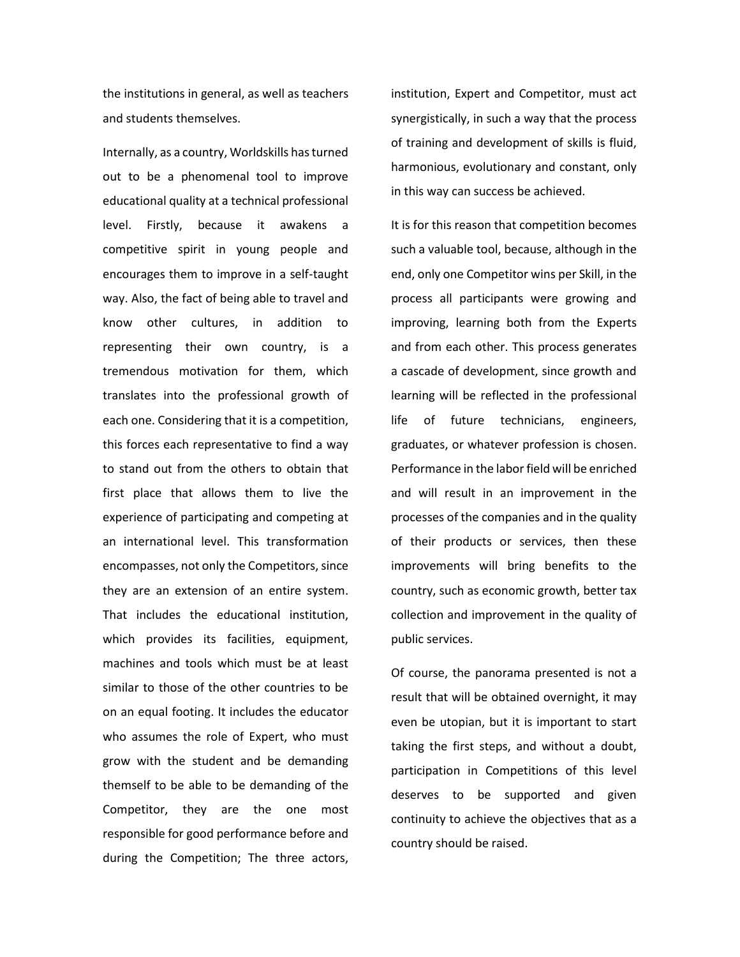the institutions in general, as well as teachers and students themselves.

Internally, as a country, Worldskills has turned out to be a phenomenal tool to improve educational quality at a technical professional level. Firstly, because it awakens a competitive spirit in young people and encourages them to improve in a self-taught way. Also, the fact of being able to travel and know other cultures, in addition to representing their own country, is a tremendous motivation for them, which translates into the professional growth of each one. Considering that it is a competition, this forces each representative to find a way to stand out from the others to obtain that first place that allows them to live the experience of participating and competing at an international level. This transformation encompasses, not only the Competitors, since they are an extension of an entire system. That includes the educational institution, which provides its facilities, equipment, machines and tools which must be at least similar to those of the other countries to be on an equal footing. It includes the educator who assumes the role of Expert, who must grow with the student and be demanding themself to be able to be demanding of the Competitor, they are the one most responsible for good performance before and during the Competition; The three actors,

institution, Expert and Competitor, must act synergistically, in such a way that the process of training and development of skills is fluid, harmonious, evolutionary and constant, only in this way can success be achieved.

It is for this reason that competition becomes such a valuable tool, because, although in the end, only one Competitor wins per Skill, in the process all participants were growing and improving, learning both from the Experts and from each other. This process generates a cascade of development, since growth and learning will be reflected in the professional life of future technicians, engineers, graduates, or whatever profession is chosen. Performance in the labor field will be enriched and will result in an improvement in the processes of the companies and in the quality of their products or services, then these improvements will bring benefits to the country, such as economic growth, better tax collection and improvement in the quality of public services.

Of course, the panorama presented is not a result that will be obtained overnight, it may even be utopian, but it is important to start taking the first steps, and without a doubt, participation in Competitions of this level deserves to be supported and given continuity to achieve the objectives that as a country should be raised.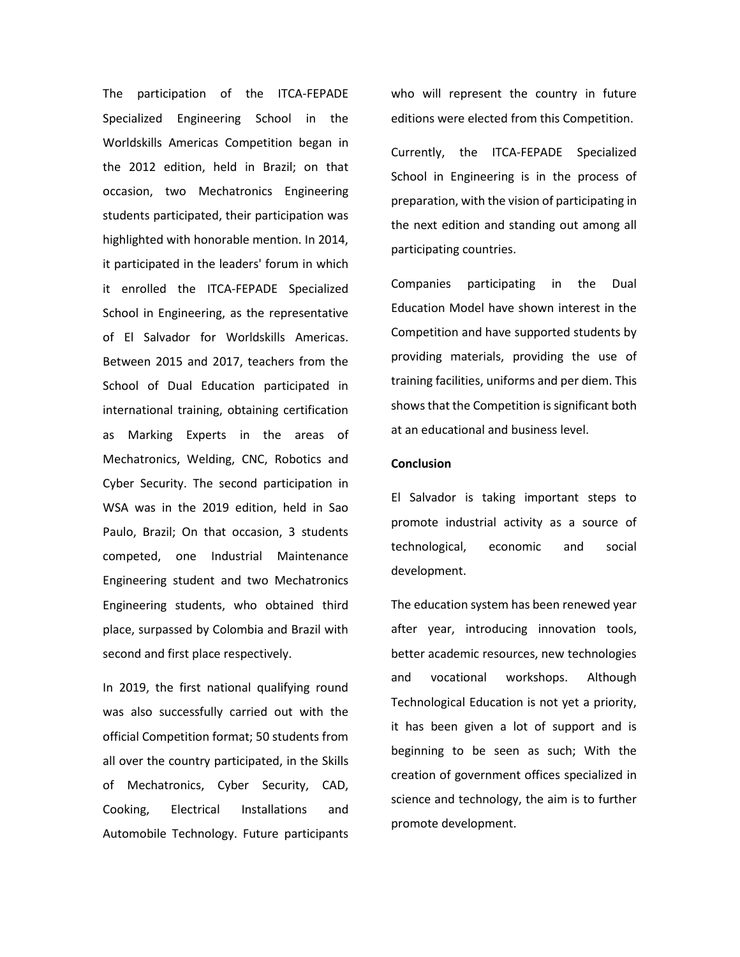The participation of the ITCA-FEPADE Specialized Engineering School in the Worldskills Americas Competition began in the 2012 edition, held in Brazil; on that occasion, two Mechatronics Engineering students participated, their participation was highlighted with honorable mention. In 2014, it participated in the leaders' forum in which it enrolled the ITCA-FEPADE Specialized School in Engineering, as the representative of El Salvador for Worldskills Americas. Between 2015 and 2017, teachers from the School of Dual Education participated in international training, obtaining certification as Marking Experts in the areas of Mechatronics, Welding, CNC, Robotics and Cyber Security. The second participation in WSA was in the 2019 edition, held in Sao Paulo, Brazil; On that occasion, 3 students competed, one Industrial Maintenance Engineering student and two Mechatronics Engineering students, who obtained third place, surpassed by Colombia and Brazil with second and first place respectively.

In 2019, the first national qualifying round was also successfully carried out with the official Competition format; 50 students from all over the country participated, in the Skills of Mechatronics, Cyber Security, CAD, Cooking, Electrical Installations and Automobile Technology. Future participants who will represent the country in future editions were elected from this Competition.

Currently, the ITCA-FEPADE Specialized School in Engineering is in the process of preparation, with the vision of participating in the next edition and standing out among all participating countries.

Companies participating in the Dual Education Model have shown interest in the Competition and have supported students by providing materials, providing the use of training facilities, uniforms and per diem. This shows that the Competition is significant both at an educational and business level.

#### **Conclusion**

El Salvador is taking important steps to promote industrial activity as a source of technological, economic and social development.

The education system has been renewed year after year, introducing innovation tools, better academic resources, new technologies and vocational workshops. Although Technological Education is not yet a priority, it has been given a lot of support and is beginning to be seen as such; With the creation of government offices specialized in science and technology, the aim is to further promote development.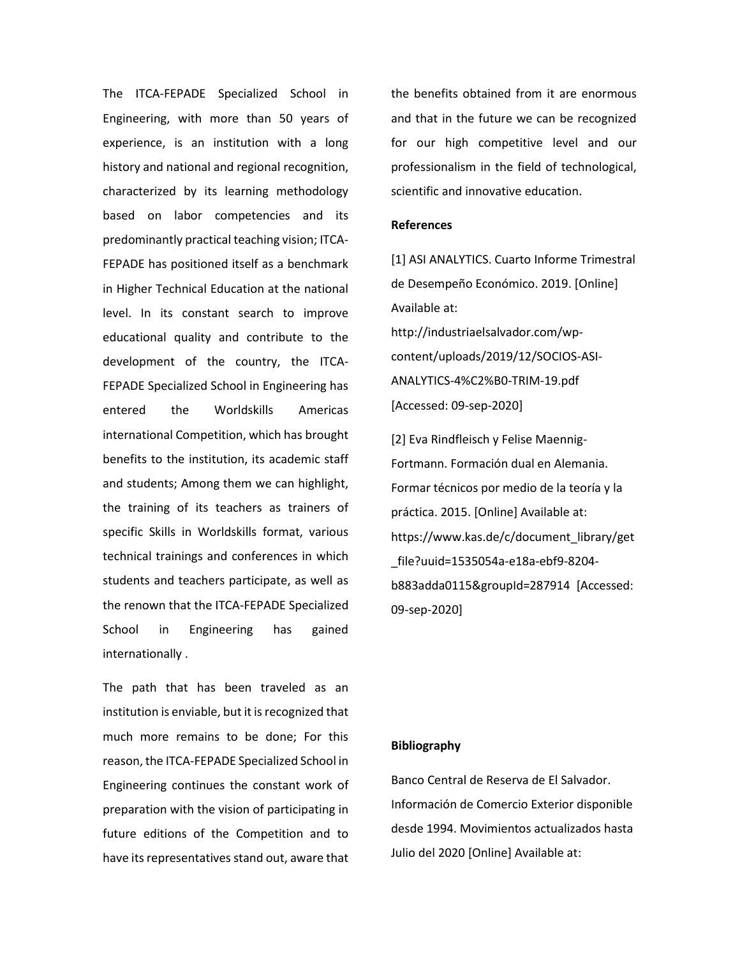The ITCA-FEPADE Specialized School in Engineering, with more than 50 years of experience, is an institution with a long history and national and regional recognition, characterized by its learning methodology based on labor competencies and its predominantly practical teaching vision; ITCA-FEPADE has positioned itself as a benchmark in Higher Technical Education at the national level. In its constant search to improve educational quality and contribute to the development of the country, the ITCA-FEPADE Specialized School in Engineering has entered the Worldskills Americas international Competition, which has brought benefits to the institution, its academic staff and students; Among them we can highlight, the training of its teachers as trainers of specific Skills in Worldskills format, various technical trainings and conferences in which students and teachers participate, as well as the renown that the ITCA-FEPADE Specialized School in Engineering has gained internationally .

The path that has been traveled as an institution is enviable, but it is recognized that much more remains to be done; For this reason, the ITCA-FEPADE Specialized School in Engineering continues the constant work of preparation with the vision of participating in future editions of the Competition and to have its representatives stand out, aware that the benefits obtained from it are enormous and that in the future we can be recognized for our high competitive level and our professionalism in the field of technological, scientific and innovative education.

# **References**

[1] ASI ANALYTICS. Cuarto Informe Trimestral de Desempeño Económico. 2019. [Online] Available at: [http://industriaelsalvador.com/wp](http://industriaelsalvador.com/wp-content/uploads/2019/12/SOCIOS-ASI-ANALYTICS-4%C2%B0-TRIM-19.pdf)[content/uploads/2019/12/SOCIOS-ASI-](http://industriaelsalvador.com/wp-content/uploads/2019/12/SOCIOS-ASI-ANALYTICS-4%C2%B0-TRIM-19.pdf)[ANALYTICS-4%C2%B0-TRIM-19.pdf](http://industriaelsalvador.com/wp-content/uploads/2019/12/SOCIOS-ASI-ANALYTICS-4%C2%B0-TRIM-19.pdf)  [Accessed: 09-sep-2020]

[2] Eva Rindfleisch y Felise Maennig-Fortmann. Formación dual en Alemania. Formar técnicos por medio de la teoría y la práctica. 2015. [Online] Available at: [https://www.kas.de/c/document\\_library/get](https://www.kas.de/c/document_library/get_file?uuid=1535054a-e18a-ebf9-8204-b883adda0115&groupId=287914) [\\_file?uuid=1535054a-e18a-ebf9-8204](https://www.kas.de/c/document_library/get_file?uuid=1535054a-e18a-ebf9-8204-b883adda0115&groupId=287914) [b883adda0115&groupId=287914](https://www.kas.de/c/document_library/get_file?uuid=1535054a-e18a-ebf9-8204-b883adda0115&groupId=287914) [Accessed: 09-sep-2020]

# **Bibliography**

Banco Central de Reserva de El Salvador. Información de Comercio Exterior disponible desde 1994. Movimientos actualizados hasta Julio del 2020 [Online] Available at: